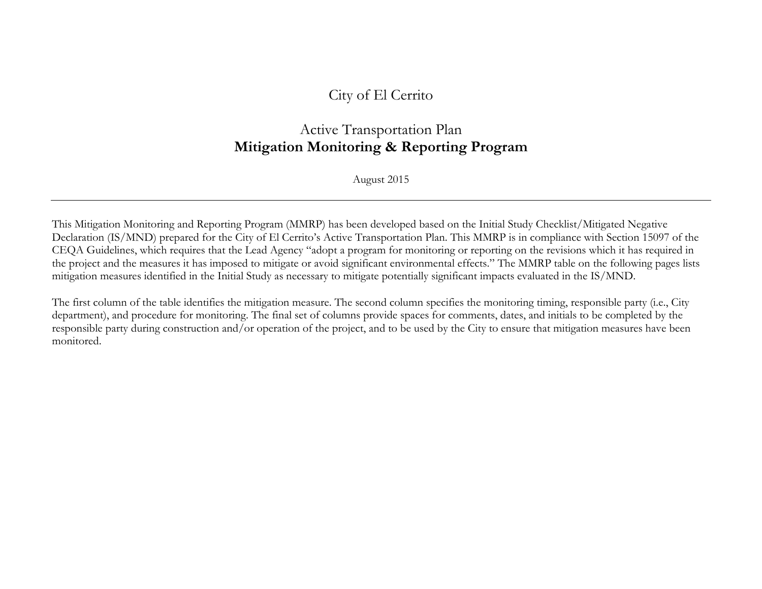## City of El Cerrito

## Active Transportation Plan **Mitigation Monitoring & Reporting Program**

August 2015

This Mitigation Monitoring and Reporting Program (MMRP) has been developed based on the Initial Study Checklist/Mitigated Negative Declaration (IS/MND) prepared for the City of El Cerrito's Active Transportation Plan. This MMRP is in compliance with Section 15097 of the CEQA Guidelines, which requires that the Lead Agency "adopt a program for monitoring or reporting on the revisions which it has required in the project and the measures it has imposed to mitigate or avoid significant environmental effects." The MMRP table on the following pages lists mitigation measures identified in the Initial Study as necessary to mitigate potentially significant impacts evaluated in the IS/MND.

The first column of the table identifies the mitigation measure. The second column specifies the monitoring timing, responsible party (i.e., City department), and procedure for monitoring. The final set of columns provide spaces for comments, dates, and initials to be completed by the responsible party during construction and/or operation of the project, and to be used by the City to ensure that mitigation measures have been monitored.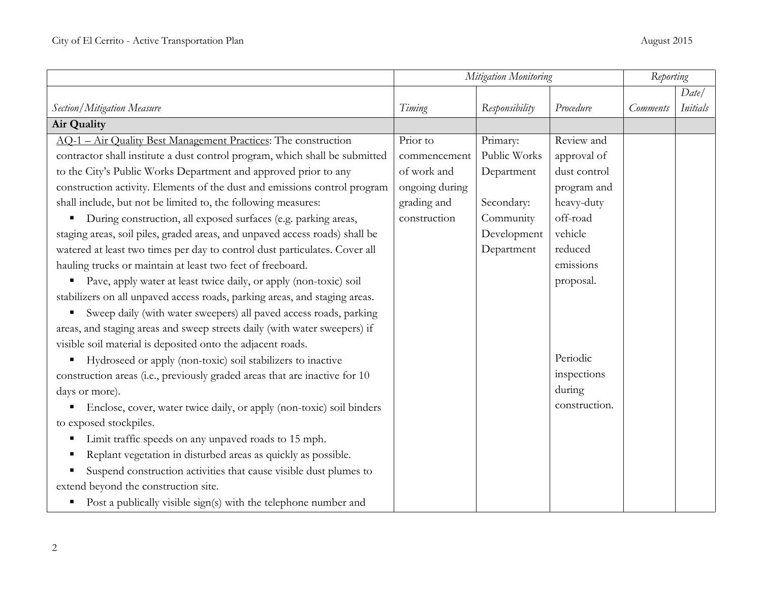|                                                                             |                | Mitigation Monitoring |               | Reporting       |          |
|-----------------------------------------------------------------------------|----------------|-----------------------|---------------|-----------------|----------|
|                                                                             |                |                       |               |                 | Date/    |
| <b>Section/Mitigation Measure</b>                                           | Timing         | Responsibility        | Procedure     | <b>Comments</b> | Initials |
| <b>Air Quality</b>                                                          |                |                       |               |                 |          |
| AQ-1 - Air Quality Best Management Practices: The construction              | Prior to       | Primary:              | Review and    |                 |          |
| contractor shall institute a dust control program, which shall be submitted | commencement   | Public Works          | approval of   |                 |          |
| to the City's Public Works Department and approved prior to any             | of work and    | Department            | dust control  |                 |          |
| construction activity. Elements of the dust and emissions control program   | ongoing during |                       | program and   |                 |          |
| shall include, but not be limited to, the following measures:               | grading and    | Secondary:            | heavy-duty    |                 |          |
| During construction, all exposed surfaces (e.g. parking areas,              | construction   | Community             | off-road      |                 |          |
| staging areas, soil piles, graded areas, and unpaved access roads) shall be |                | Development           | vehicle       |                 |          |
| watered at least two times per day to control dust particulates. Cover all  |                | Department            | reduced       |                 |          |
| hauling trucks or maintain at least two feet of freeboard.                  |                |                       | emissions     |                 |          |
| Pave, apply water at least twice daily, or apply (non-toxic) soil<br>Ξ      |                |                       | proposal.     |                 |          |
| stabilizers on all unpaved access roads, parking areas, and staging areas.  |                |                       |               |                 |          |
| Sweep daily (with water sweepers) all paved access roads, parking<br>Ξ      |                |                       |               |                 |          |
| areas, and staging areas and sweep streets daily (with water sweepers) if   |                |                       |               |                 |          |
| visible soil material is deposited onto the adjacent roads.                 |                |                       |               |                 |          |
| Hydroseed or apply (non-toxic) soil stabilizers to inactive<br>Е            |                |                       | Periodic      |                 |          |
| construction areas (i.e., previously graded areas that are inactive for 10  |                |                       | inspections   |                 |          |
| days or more).                                                              |                |                       | during        |                 |          |
| Enclose, cover, water twice daily, or apply (non-toxic) soil binders        |                |                       | construction. |                 |          |
| to exposed stockpiles.                                                      |                |                       |               |                 |          |
| Limit traffic speeds on any unpaved roads to 15 mph.<br>Е                   |                |                       |               |                 |          |
| Replant vegetation in disturbed areas as quickly as possible.<br>Е          |                |                       |               |                 |          |
| Suspend construction activities that cause visible dust plumes to<br>п      |                |                       |               |                 |          |
| extend beyond the construction site.                                        |                |                       |               |                 |          |
| Post a publically visible sign(s) with the telephone number and             |                |                       |               |                 |          |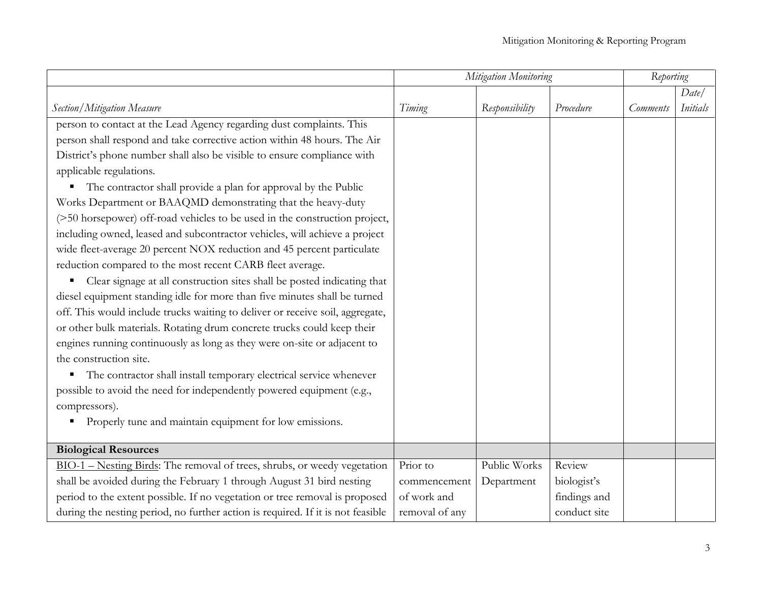|                                                                                 |                | Mitigation Monitoring |              | Reporting       |                 |
|---------------------------------------------------------------------------------|----------------|-----------------------|--------------|-----------------|-----------------|
|                                                                                 |                |                       |              |                 | Date/           |
| <b>Section/Mitigation Measure</b>                                               | Timing         | Responsibility        | Procedure    | <b>Comments</b> | <b>Initials</b> |
| person to contact at the Lead Agency regarding dust complaints. This            |                |                       |              |                 |                 |
| person shall respond and take corrective action within 48 hours. The Air        |                |                       |              |                 |                 |
| District's phone number shall also be visible to ensure compliance with         |                |                       |              |                 |                 |
| applicable regulations.                                                         |                |                       |              |                 |                 |
| The contractor shall provide a plan for approval by the Public                  |                |                       |              |                 |                 |
| Works Department or BAAQMD demonstrating that the heavy-duty                    |                |                       |              |                 |                 |
| (>50 horsepower) off-road vehicles to be used in the construction project,      |                |                       |              |                 |                 |
| including owned, leased and subcontractor vehicles, will achieve a project      |                |                       |              |                 |                 |
| wide fleet-average 20 percent NOX reduction and 45 percent particulate          |                |                       |              |                 |                 |
| reduction compared to the most recent CARB fleet average.                       |                |                       |              |                 |                 |
| Clear signage at all construction sites shall be posted indicating that         |                |                       |              |                 |                 |
| diesel equipment standing idle for more than five minutes shall be turned       |                |                       |              |                 |                 |
| off. This would include trucks waiting to deliver or receive soil, aggregate,   |                |                       |              |                 |                 |
| or other bulk materials. Rotating drum concrete trucks could keep their         |                |                       |              |                 |                 |
| engines running continuously as long as they were on-site or adjacent to        |                |                       |              |                 |                 |
| the construction site.                                                          |                |                       |              |                 |                 |
| The contractor shall install temporary electrical service whenever<br>Е         |                |                       |              |                 |                 |
| possible to avoid the need for independently powered equipment (e.g.,           |                |                       |              |                 |                 |
| compressors).                                                                   |                |                       |              |                 |                 |
| Properly tune and maintain equipment for low emissions.<br>п                    |                |                       |              |                 |                 |
|                                                                                 |                |                       |              |                 |                 |
| <b>Biological Resources</b>                                                     |                |                       |              |                 |                 |
| BIO-1 – Nesting Birds: The removal of trees, shrubs, or weedy vegetation        | Prior to       | Public Works          | Review       |                 |                 |
| shall be avoided during the February 1 through August 31 bird nesting           | commencement   | Department            | biologist's  |                 |                 |
| period to the extent possible. If no vegetation or tree removal is proposed     | of work and    |                       | findings and |                 |                 |
| during the nesting period, no further action is required. If it is not feasible | removal of any |                       | conduct site |                 |                 |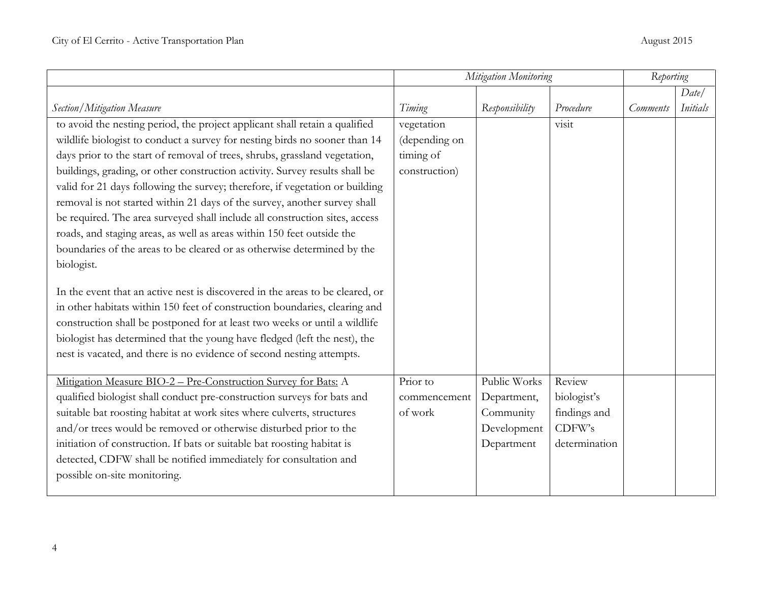|                                                                                                                                                                                                                                                                                                                                                                                                 |               | Mitigation Monitoring |               | Reporting       |                 |
|-------------------------------------------------------------------------------------------------------------------------------------------------------------------------------------------------------------------------------------------------------------------------------------------------------------------------------------------------------------------------------------------------|---------------|-----------------------|---------------|-----------------|-----------------|
|                                                                                                                                                                                                                                                                                                                                                                                                 |               |                       |               |                 | Date/           |
| Section/Mitigation Measure                                                                                                                                                                                                                                                                                                                                                                      | Timing        | Responsibility        | Procedure     | <i>Comments</i> | <b>Initials</b> |
| to avoid the nesting period, the project applicant shall retain a qualified                                                                                                                                                                                                                                                                                                                     | vegetation    |                       | visit         |                 |                 |
| wildlife biologist to conduct a survey for nesting birds no sooner than 14                                                                                                                                                                                                                                                                                                                      | (depending on |                       |               |                 |                 |
| days prior to the start of removal of trees, shrubs, grassland vegetation,                                                                                                                                                                                                                                                                                                                      | timing of     |                       |               |                 |                 |
| buildings, grading, or other construction activity. Survey results shall be                                                                                                                                                                                                                                                                                                                     | construction) |                       |               |                 |                 |
| valid for 21 days following the survey; therefore, if vegetation or building                                                                                                                                                                                                                                                                                                                    |               |                       |               |                 |                 |
| removal is not started within 21 days of the survey, another survey shall                                                                                                                                                                                                                                                                                                                       |               |                       |               |                 |                 |
| be required. The area surveyed shall include all construction sites, access                                                                                                                                                                                                                                                                                                                     |               |                       |               |                 |                 |
| roads, and staging areas, as well as areas within 150 feet outside the                                                                                                                                                                                                                                                                                                                          |               |                       |               |                 |                 |
| boundaries of the areas to be cleared or as otherwise determined by the                                                                                                                                                                                                                                                                                                                         |               |                       |               |                 |                 |
| biologist.                                                                                                                                                                                                                                                                                                                                                                                      |               |                       |               |                 |                 |
| In the event that an active nest is discovered in the areas to be cleared, or<br>in other habitats within 150 feet of construction boundaries, clearing and<br>construction shall be postponed for at least two weeks or until a wildlife<br>biologist has determined that the young have fledged (left the nest), the<br>nest is vacated, and there is no evidence of second nesting attempts. |               |                       |               |                 |                 |
| Mitigation Measure BIO-2 - Pre-Construction Survey for Bats: A                                                                                                                                                                                                                                                                                                                                  | Prior to      | Public Works          | Review        |                 |                 |
| qualified biologist shall conduct pre-construction surveys for bats and                                                                                                                                                                                                                                                                                                                         | commencement  | Department,           | biologist's   |                 |                 |
| suitable bat roosting habitat at work sites where culverts, structures                                                                                                                                                                                                                                                                                                                          | of work       | Community             | findings and  |                 |                 |
| and/or trees would be removed or otherwise disturbed prior to the                                                                                                                                                                                                                                                                                                                               |               | Development           | CDFW's        |                 |                 |
| initiation of construction. If bats or suitable bat roosting habitat is                                                                                                                                                                                                                                                                                                                         |               | Department            | determination |                 |                 |
| detected, CDFW shall be notified immediately for consultation and                                                                                                                                                                                                                                                                                                                               |               |                       |               |                 |                 |
| possible on-site monitoring.                                                                                                                                                                                                                                                                                                                                                                    |               |                       |               |                 |                 |
|                                                                                                                                                                                                                                                                                                                                                                                                 |               |                       |               |                 |                 |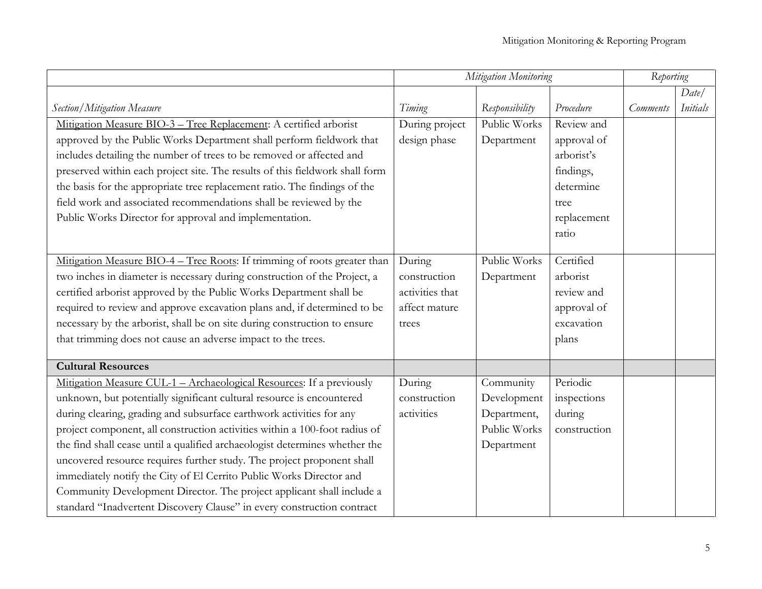|                                                                              |                        | Mitigation Monitoring |              | Reporting       |                 |
|------------------------------------------------------------------------------|------------------------|-----------------------|--------------|-----------------|-----------------|
|                                                                              |                        |                       |              |                 | Date/           |
| Section/Mitigation Measure                                                   | Timing                 | Responsibility        | Procedure    | <b>Comments</b> | <b>Initials</b> |
| Mitigation Measure BIO-3 - Tree Replacement: A certified arborist            | During project         | Public Works          | Review and   |                 |                 |
| approved by the Public Works Department shall perform fieldwork that         | design phase           | Department            | approval of  |                 |                 |
| includes detailing the number of trees to be removed or affected and         |                        |                       | arborist's   |                 |                 |
| preserved within each project site. The results of this fieldwork shall form |                        |                       | findings,    |                 |                 |
| the basis for the appropriate tree replacement ratio. The findings of the    |                        |                       | determine    |                 |                 |
| field work and associated recommendations shall be reviewed by the           |                        |                       | tree         |                 |                 |
| Public Works Director for approval and implementation.                       |                        |                       | replacement  |                 |                 |
|                                                                              |                        |                       | ratio        |                 |                 |
|                                                                              |                        |                       |              |                 |                 |
| Mitigation Measure BIO-4 - Tree Roots: If trimming of roots greater than     | During                 | Public Works          | Certified    |                 |                 |
| two inches in diameter is necessary during construction of the Project, a    | construction           | Department            | arborist     |                 |                 |
| certified arborist approved by the Public Works Department shall be          | activities that        |                       | review and   |                 |                 |
| required to review and approve excavation plans and, if determined to be     | affect mature          |                       | approval of  |                 |                 |
| necessary by the arborist, shall be on site during construction to ensure    | trees                  |                       | excavation   |                 |                 |
| that trimming does not cause an adverse impact to the trees.                 |                        |                       | plans        |                 |                 |
| <b>Cultural Resources</b>                                                    |                        |                       |              |                 |                 |
| Mitigation Measure CUL-1 - Archaeological Resources: If a previously         |                        | Community             | Periodic     |                 |                 |
|                                                                              | During<br>construction |                       |              |                 |                 |
| unknown, but potentially significant cultural resource is encountered        |                        | Development           | inspections  |                 |                 |
| during clearing, grading and subsurface earthwork activities for any         | activities             | Department,           | during       |                 |                 |
| project component, all construction activities within a 100-foot radius of   |                        | Public Works          | construction |                 |                 |
| the find shall cease until a qualified archaeologist determines whether the  |                        | Department            |              |                 |                 |
| uncovered resource requires further study. The project proponent shall       |                        |                       |              |                 |                 |
| immediately notify the City of El Cerrito Public Works Director and          |                        |                       |              |                 |                 |
| Community Development Director. The project applicant shall include a        |                        |                       |              |                 |                 |
| standard "Inadvertent Discovery Clause" in every construction contract       |                        |                       |              |                 |                 |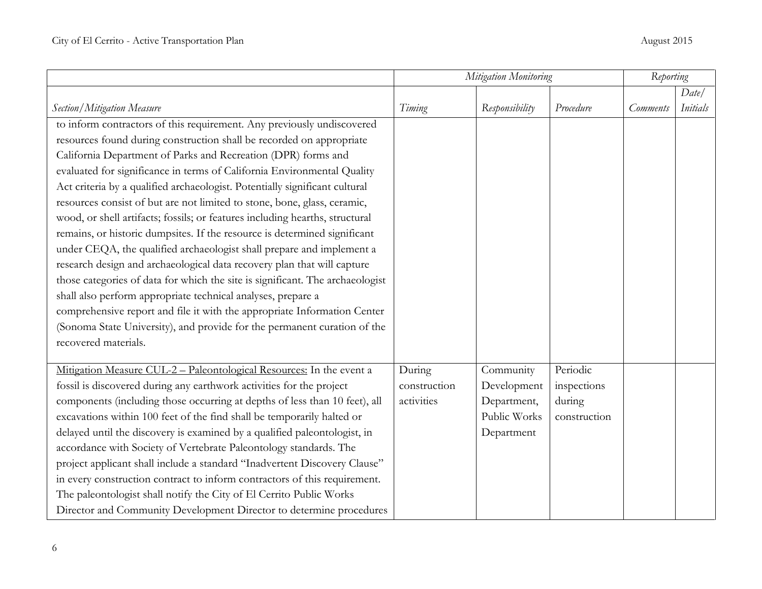|                                                                               |              | Mitigation Monitoring |              | Reporting       |                 |
|-------------------------------------------------------------------------------|--------------|-----------------------|--------------|-----------------|-----------------|
|                                                                               |              |                       |              |                 | Date/           |
| <b>Section/Mitigation Measure</b>                                             | Timing       | Responsibility        | Procedure    | <b>Comments</b> | <b>Initials</b> |
| to inform contractors of this requirement. Any previously undiscovered        |              |                       |              |                 |                 |
| resources found during construction shall be recorded on appropriate          |              |                       |              |                 |                 |
| California Department of Parks and Recreation (DPR) forms and                 |              |                       |              |                 |                 |
| evaluated for significance in terms of California Environmental Quality       |              |                       |              |                 |                 |
| Act criteria by a qualified archaeologist. Potentially significant cultural   |              |                       |              |                 |                 |
| resources consist of but are not limited to stone, bone, glass, ceramic,      |              |                       |              |                 |                 |
| wood, or shell artifacts; fossils; or features including hearths, structural  |              |                       |              |                 |                 |
| remains, or historic dumpsites. If the resource is determined significant     |              |                       |              |                 |                 |
| under CEQA, the qualified archaeologist shall prepare and implement a         |              |                       |              |                 |                 |
| research design and archaeological data recovery plan that will capture       |              |                       |              |                 |                 |
| those categories of data for which the site is significant. The archaeologist |              |                       |              |                 |                 |
| shall also perform appropriate technical analyses, prepare a                  |              |                       |              |                 |                 |
| comprehensive report and file it with the appropriate Information Center      |              |                       |              |                 |                 |
| (Sonoma State University), and provide for the permanent curation of the      |              |                       |              |                 |                 |
| recovered materials.                                                          |              |                       |              |                 |                 |
|                                                                               |              |                       |              |                 |                 |
| Mitigation Measure CUL-2 – Paleontological Resources: In the event a          | During       | Community             | Periodic     |                 |                 |
| fossil is discovered during any earthwork activities for the project          | construction | Development           | inspections  |                 |                 |
| components (including those occurring at depths of less than 10 feet), all    | activities   | Department,           | during       |                 |                 |
| excavations within 100 feet of the find shall be temporarily halted or        |              | Public Works          | construction |                 |                 |
| delayed until the discovery is examined by a qualified paleontologist, in     |              | Department            |              |                 |                 |
| accordance with Society of Vertebrate Paleontology standards. The             |              |                       |              |                 |                 |
| project applicant shall include a standard "Inadvertent Discovery Clause"     |              |                       |              |                 |                 |
| in every construction contract to inform contractors of this requirement.     |              |                       |              |                 |                 |
| The paleontologist shall notify the City of El Cerrito Public Works           |              |                       |              |                 |                 |
| Director and Community Development Director to determine procedures           |              |                       |              |                 |                 |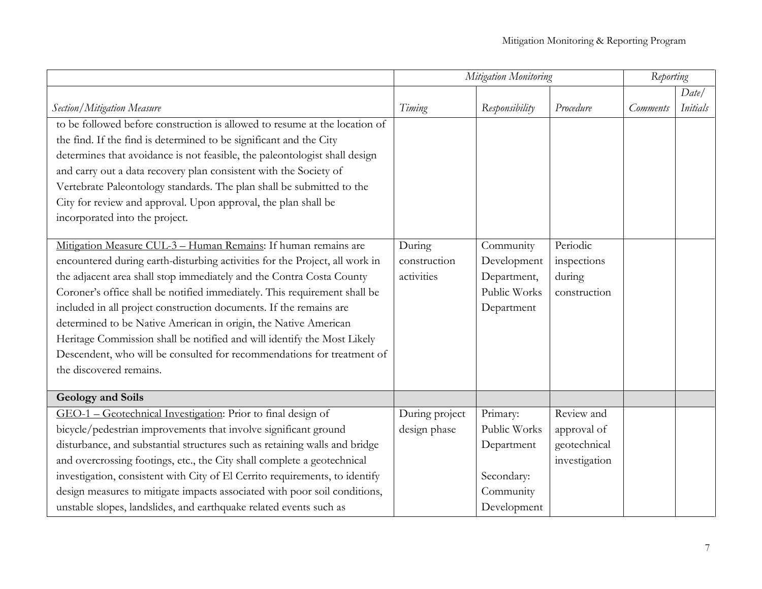|                                                                             |                | Mitigation Monitoring |               | Reporting       |          |
|-----------------------------------------------------------------------------|----------------|-----------------------|---------------|-----------------|----------|
|                                                                             |                |                       |               |                 | Date/    |
| <b>Section/Mitigation Measure</b>                                           | Timing         | Responsibility        | Procedure     | <b>Comments</b> | Initials |
| to be followed before construction is allowed to resume at the location of  |                |                       |               |                 |          |
| the find. If the find is determined to be significant and the City          |                |                       |               |                 |          |
| determines that avoidance is not feasible, the paleontologist shall design  |                |                       |               |                 |          |
| and carry out a data recovery plan consistent with the Society of           |                |                       |               |                 |          |
| Vertebrate Paleontology standards. The plan shall be submitted to the       |                |                       |               |                 |          |
| City for review and approval. Upon approval, the plan shall be              |                |                       |               |                 |          |
| incorporated into the project.                                              |                |                       |               |                 |          |
|                                                                             |                |                       |               |                 |          |
| Mitigation Measure CUL-3 - Human Remains: If human remains are              | During         | Community             | Periodic      |                 |          |
| encountered during earth-disturbing activities for the Project, all work in | construction   | Development           | inspections   |                 |          |
| the adjacent area shall stop immediately and the Contra Costa County        | activities     | Department,           | during        |                 |          |
| Coroner's office shall be notified immediately. This requirement shall be   |                | Public Works          | construction  |                 |          |
| included in all project construction documents. If the remains are          |                | Department            |               |                 |          |
| determined to be Native American in origin, the Native American             |                |                       |               |                 |          |
| Heritage Commission shall be notified and will identify the Most Likely     |                |                       |               |                 |          |
| Descendent, who will be consulted for recommendations for treatment of      |                |                       |               |                 |          |
| the discovered remains.                                                     |                |                       |               |                 |          |
|                                                                             |                |                       |               |                 |          |
| <b>Geology and Soils</b>                                                    |                |                       |               |                 |          |
| GEO-1 - Geotechnical Investigation: Prior to final design of                | During project | Primary:              | Review and    |                 |          |
| bicycle/pedestrian improvements that involve significant ground             | design phase   | Public Works          | approval of   |                 |          |
| disturbance, and substantial structures such as retaining walls and bridge  |                | Department            | geotechnical  |                 |          |
| and overcrossing footings, etc., the City shall complete a geotechnical     |                |                       | investigation |                 |          |
| investigation, consistent with City of El Cerrito requirements, to identify |                | Secondary:            |               |                 |          |
| design measures to mitigate impacts associated with poor soil conditions,   |                | Community             |               |                 |          |
| unstable slopes, landslides, and earthquake related events such as          |                | Development           |               |                 |          |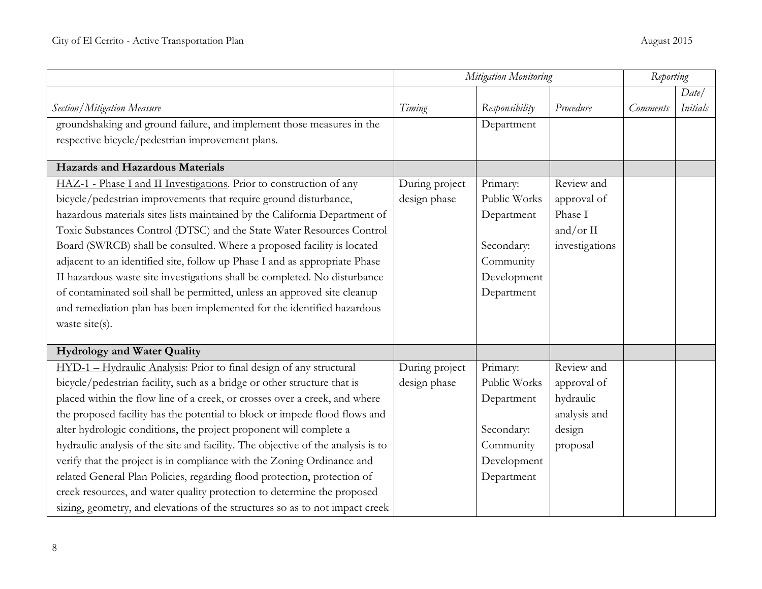|                                                                                  |                | Mitigation Monitoring |                | Reporting       |          |
|----------------------------------------------------------------------------------|----------------|-----------------------|----------------|-----------------|----------|
|                                                                                  |                |                       |                |                 | Date/    |
| Section/Mitigation Measure                                                       | Timing         | Responsibility        | Procedure      | <b>Comments</b> | Initials |
| groundshaking and ground failure, and implement those measures in the            |                | Department            |                |                 |          |
| respective bicycle/pedestrian improvement plans.                                 |                |                       |                |                 |          |
| <b>Hazards and Hazardous Materials</b>                                           |                |                       |                |                 |          |
| HAZ-1 - Phase I and II Investigations. Prior to construction of any              | During project | Primary:              | Review and     |                 |          |
| bicycle/pedestrian improvements that require ground disturbance,                 | design phase   | Public Works          | approval of    |                 |          |
| hazardous materials sites lists maintained by the California Department of       |                | Department            | Phase I        |                 |          |
| Toxic Substances Control (DTSC) and the State Water Resources Control            |                |                       | and/or $II$    |                 |          |
| Board (SWRCB) shall be consulted. Where a proposed facility is located           |                | Secondary:            | investigations |                 |          |
| adjacent to an identified site, follow up Phase I and as appropriate Phase       |                | Community             |                |                 |          |
| II hazardous waste site investigations shall be completed. No disturbance        |                | Development           |                |                 |          |
| of contaminated soil shall be permitted, unless an approved site cleanup         |                | Department            |                |                 |          |
| and remediation plan has been implemented for the identified hazardous           |                |                       |                |                 |          |
| waste site(s).                                                                   |                |                       |                |                 |          |
|                                                                                  |                |                       |                |                 |          |
| <b>Hydrology and Water Quality</b>                                               |                |                       |                |                 |          |
| HYD-1 - Hydraulic Analysis: Prior to final design of any structural              | During project | Primary:              | Review and     |                 |          |
| bicycle/pedestrian facility, such as a bridge or other structure that is         | design phase   | Public Works          | approval of    |                 |          |
| placed within the flow line of a creek, or crosses over a creek, and where       |                | Department            | hydraulic      |                 |          |
| the proposed facility has the potential to block or impede flood flows and       |                |                       | analysis and   |                 |          |
| alter hydrologic conditions, the project proponent will complete a               |                | Secondary:            | design         |                 |          |
| hydraulic analysis of the site and facility. The objective of the analysis is to |                | Community             | proposal       |                 |          |
| verify that the project is in compliance with the Zoning Ordinance and           |                | Development           |                |                 |          |
| related General Plan Policies, regarding flood protection, protection of         |                | Department            |                |                 |          |
| creek resources, and water quality protection to determine the proposed          |                |                       |                |                 |          |
| sizing, geometry, and elevations of the structures so as to not impact creek     |                |                       |                |                 |          |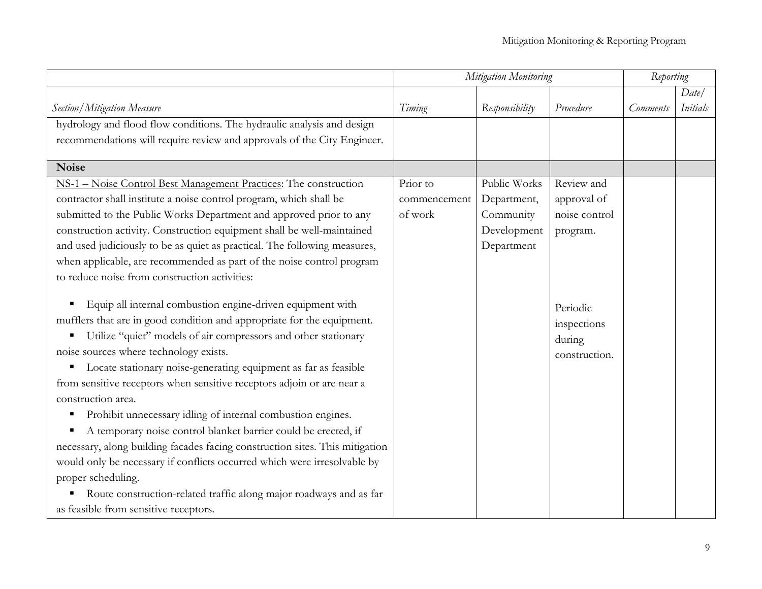|                                                                              |              | Mitigation Monitoring |               | Reporting       |          |
|------------------------------------------------------------------------------|--------------|-----------------------|---------------|-----------------|----------|
|                                                                              |              |                       |               |                 | Date/    |
| Section/Mitigation Measure                                                   | Timing       | Responsibility        | Procedure     | <i>Comments</i> | Initials |
| hydrology and flood flow conditions. The hydraulic analysis and design       |              |                       |               |                 |          |
| recommendations will require review and approvals of the City Engineer.      |              |                       |               |                 |          |
|                                                                              |              |                       |               |                 |          |
| <b>Noise</b>                                                                 |              |                       |               |                 |          |
| NS-1 – Noise Control Best Management Practices: The construction             | Prior to     | Public Works          | Review and    |                 |          |
| contractor shall institute a noise control program, which shall be           | commencement | Department,           | approval of   |                 |          |
| submitted to the Public Works Department and approved prior to any           | of work      | Community             | noise control |                 |          |
| construction activity. Construction equipment shall be well-maintained       |              | Development           | program.      |                 |          |
| and used judiciously to be as quiet as practical. The following measures,    |              | Department            |               |                 |          |
| when applicable, are recommended as part of the noise control program        |              |                       |               |                 |          |
| to reduce noise from construction activities:                                |              |                       |               |                 |          |
|                                                                              |              |                       |               |                 |          |
| Equip all internal combustion engine-driven equipment with                   |              |                       | Periodic      |                 |          |
| mufflers that are in good condition and appropriate for the equipment.       |              |                       | inspections   |                 |          |
| Utilize "quiet" models of air compressors and other stationary<br>п          |              |                       | during        |                 |          |
| noise sources where technology exists.                                       |              |                       | construction. |                 |          |
| Locate stationary noise-generating equipment as far as feasible<br>Е         |              |                       |               |                 |          |
| from sensitive receptors when sensitive receptors adjoin or are near a       |              |                       |               |                 |          |
| construction area.                                                           |              |                       |               |                 |          |
| Prohibit unnecessary idling of internal combustion engines.<br>Е             |              |                       |               |                 |          |
| A temporary noise control blanket barrier could be erected, if               |              |                       |               |                 |          |
| necessary, along building facades facing construction sites. This mitigation |              |                       |               |                 |          |
| would only be necessary if conflicts occurred which were irresolvable by     |              |                       |               |                 |          |
| proper scheduling.                                                           |              |                       |               |                 |          |
| Route construction-related traffic along major roadways and as far           |              |                       |               |                 |          |
| as feasible from sensitive receptors.                                        |              |                       |               |                 |          |